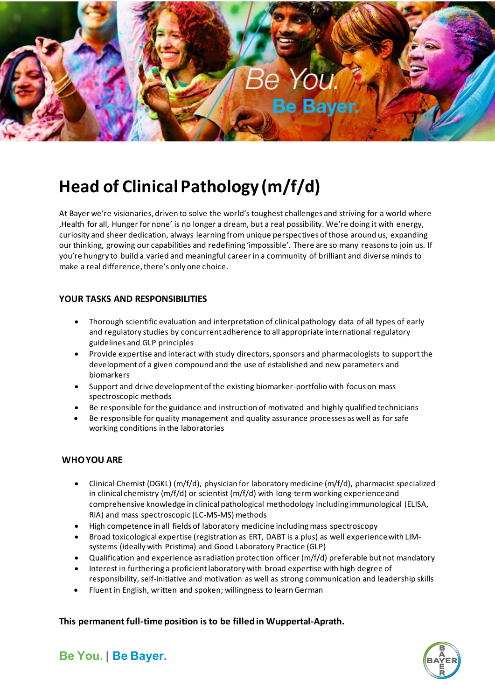

# **Head of Clinical Pathology (m/f/d)**

At Bayer we're visionaries, driven to solve the world's toughest challenges and striving for a world where ,Health for all, Hunger for none' is no longer a dream, but a real possibility. We're doing it with energy, curiosity and sheer dedication, always learning from unique perspectives of those around us, expanding our thinking, growing our capabilities and redefining 'impossible'. There are so many reasons to join us. If you're hungry to build a varied and meaningful career in a community of brilliant and diverse minds to make a real difference, there's only one choice.

## **YOUR TASKS AND RESPONSIBILITIES**

- Thorough scientific evaluation and interpretation of clinical pathology data of all types of early and regulatory studies by concurrent adherence to all appropriate international regulatory guidelines and GLP principles
- Provide expertise and interact with study directors, sponsors and pharmacologists to support the development of a given compound and the use of established and new parameters and biomarkers
- Support and drive development of the existing biomarker-portfolio with focus on mass spectroscopic methods
- Be responsible for the guidance and instruction of motivated and highly qualified technicians
- Be responsible for quality management and quality assurance processes as well as for safe working conditions in the laboratories

## **WHO YOU ARE**

- Clinical Chemist (DGKL) (m/f/d), physician for laboratory medicine (m/f/d), pharmacist specialized in clinical chemistry  $(m/f/d)$  or scientist  $(m/f/d)$  with long-term working experience and comprehensive knowledge in clinical pathological methodology including immunological (ELISA, RIA) and mass spectroscopic (LC-MS-MS) methods
- High competence in all fields of laboratory medicine including mass spectroscopy
- Broad toxicological expertise (registration as ERT, DABT is a plus) as well experience with LIMsystems (ideally with Pristima) and Good Laboratory Practice (GLP)
- Qualification and experience as radiation protection officer (m/f/d) preferable but not mandatory
- Interest in furthering a proficient laboratory with broad expertise with high degree of responsibility, self-initiative and motivation as well as strong communication and leadership skills
- Fluent in English, written and spoken; willingness to learn German

## **This permanent full-time position is to be filled in Wuppertal-Aprath.**



**Be You. | Be Bayer.**